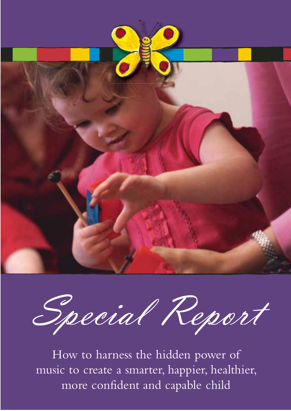

Special Report

How to harness the hidden power of music to create a smarter, happier, healthier, more confident and capable child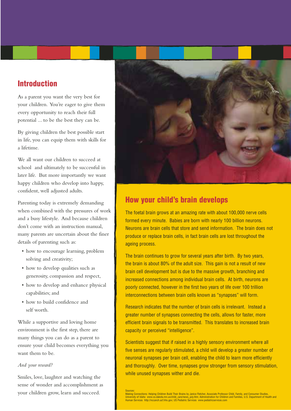### **Introduction**

As a parent you want the very best for your children. You're eager to give them every opportunity to reach their full potential ... to be the best they can be.

By giving children the best possible start in life, you can equip them with skills for a lifetime.

We all want our children to succeed at school and ultimately to be successful in later life. But more importantly we want happy children who develop into happy, confident, well adjusted adults.

Parenting today is extremely demanding when combined with the pressures of work and a busy lifestyle. And because children don't come with an instruction manual, many parents are uncertain about the finer details of parenting such as:

- how to encourage learning, problem solving and creativity;
- how to develop qualities such as generosity, compassion and respect,
- how to develop and enhance physical capabilities; and
- how to build confidence and self worth.

While a supportive and loving home environment is the first step, there are many things you can do as a parent to ensure your child becomes everything you want them to be.

#### *And your reward?*

Smiles, love, laughter and watching the sense of wonder and accomplishment as your children grow, learn and succeed.



### **How your child's brain develops**

The foetal brain grows at an amazing rate with about 100,000 nerve cells formed every minute. Babies are born with nearly 100 billion neurons. Neurons are brain cells that store and send information. The brain does not produce or replace brain cells, in fact brain cells are lost throughout the ageing process.

The brain continues to grow for several years after birth. By two years, the brain is about 80% of the adult size. This gain is not a result of new brain cell development but is due to the massive growth, branching and increased connections among individual brain cells. At birth, neurons are poorly connected, however in the first two years of life over 100 trillion interconnections between brain cells known as "synapses" will form.

Research indicates that the number of brain cells is irrelevant. Instead a greater number of synapses connecting the cells, allows for faster, more efficient brain signals to be transmitted. This translates to increased brain capacity or perceived "intelligence".

Scientists suggest that if raised in a highly sensory environment where all five senses are regularly stimulated, a child will develop a greater number of neuronal synapses per brain cell, enabling the child to learn more efficiently and thoroughly. Over time, synapses grow stronger from sensory stimulation, while unused synapses wither and die.

Sources:<br>Making Connections: Helping Children Build Their Brains by Janice Fletcher, Associate Professor Child, Family, and Consumer Studies,<br>University of Idaho www.co.dakota.mn.us/child\_care/news\_july.htm; Administratio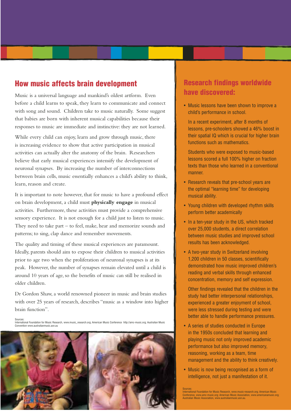### **How music affects brain development**

Music is a universal language and mankind's oldest artform. Even before a child learns to speak, they learn to communicate and connect with song and sound. Children take to music naturally. Some suggest that babies are born with inherent musical capabilities because their responses to music are immediate and instinctive: they are not learned.

While every child can enjoy, learn and grow through music, there is increasing evidence to show that active participation in musical activities can actually alter the anatomy of the brain. Researchers believe that early musical experiences intensify the development of neuronal synapses. By increasing the number of interconnections between brain cells, music essentially enhances a child's ability to think, learn, reason and create.

It is important to note however, that for music to have a profound effect on brain development, a child must **physically engage** in musical activities. Furthermore, these activities must provide a comprehensive sensory experience. It is not enough for a child just to listen to music. They need to take part – to feel, make, hear and memorize sounds and patterns; to sing, clap dance and remember movements.

The quality and timing of these musical experiences are paramount. Ideally, parents should aim to expose their children to musical activities prior to age two when the proliferation of neuronal synapses is at its peak. However, the number of synapses remain elevated until a child is around 10 years of age, so the benefits of music can still be realised in older children.

Dr Gordon Shaw, a world renowned pioneer in music and brain studies with over 25 years of research, describes "music as a window into higher brain function".

Sources: International Foundation for Music Research, www.music\_research.org; American Music Conference http://amc-music.org; Australian Music Convention www.australianmusic.asn.au



## **Research findings worldwide have discovered:**

• Music lessons have been shown to improve a child's performance in school.

 In a recent experiment, after 8 months of lessons, pre-schoolers showed a 46% boost in their spatial IQ which is crucial for higher brain functions such as mathematics.

 Students who were exposed to music-based lessons scored a full 100% higher on fraction texts than those who learned in a conventional manner.

- Research reveals that pre-school years are the optimal "learning time" for developing musical ability.
- Young children with developed rhythm skills perform better academically
- In a ten-year study in the US, which tracked over 25,000 students, a direct correlation between music studies and improved school results has been acknowledged.
- A two-year study in Switzerland involving 1,200 children in 50 classes, scientifically demonstrated how music improved children's reading and verbal skills through enhanced concentration, memory and self expression.

 Other findings revealed that the children in the study had better interpersonal relationships, experienced a greater enjoyment of school, were less stressed during testing and were better able to handle performance pressures.

- A series of studies conducted in Europe in the 1950s concluded that learning and playing music not only improved academic performance but also improved memory, reasoning, working as a team, time management and the ability to think creatively.
- Music is now being recognised as a form of intelligence, not just a manifestation of it.

Sources:<br>International Foundation for Music Research, www.music-research.org; American Music<br>Conference, www.amc-music.org; American Music Association, www.americanamusic.org;<br>Australian Music Association, www.australianmu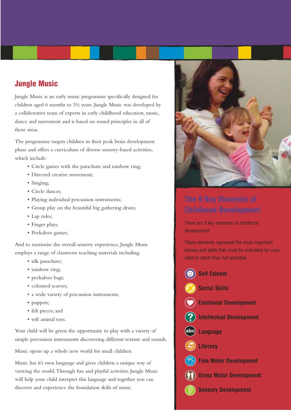## **Jungle Music**

Jungle Music is an early music programme specifically designed for children aged 6 months to 3½ years. Jungle Music was developed by a collaborative team of experts in early childhood education, music, dance and movement and is based on sound principles in all of these areas.

The programme targets children in their peak brain development phase and offers a curriculum of diverse sensory-based activities, which include:

- Circle games with the parachute and rainbow ring;
- Directed creative movement:
- Singing;
- Circle dances;
- Playing individual percussion instruments;
- Group play on the beautiful big gathering drum;
- Lap rides;
- Finger plays;
- Peekaboo games;

And to maximise the overall sensory experience, Jungle Music employs a range of classroom teaching materials including:

- silk parachute;
- rainbow ring;
- peekaboo bags;
- coloured scarves;
- a wide variety of percussion instruments;
- puppets;
- felt pieces; and
- soft animal toys.

Your child will be given the opportunity to play with a variety of simple percussion instruments discovering different texture and sounds.

Music opens up a whole new world for small children.

Music has it's own language and gives children a unique way of viewing the world. Through fun and playful activities Jungle Music will help your child interpret this language and together you can discover and experience the foundation skills of music.



There are 9 key elements of childhood development.

These elements represent the most important senses and skills that must be cultivated for your child to reach their full potential.

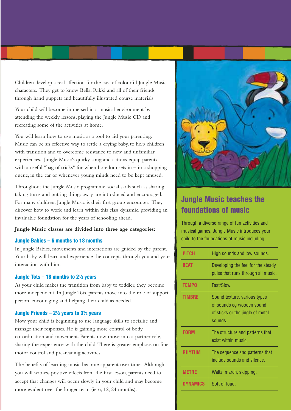Children develop a real affection for the cast of colourful Jungle Music characters. They get to know Bella, Rikki and all of their friends through hand puppets and beautifully illustrated course materials.

Your child will become immersed in a musical environment by attending the weekly lessons, playing the Jungle Music CD and recreating some of the activities at home.

You will learn how to use music as a tool to aid your parenting. Music can be an effective way to settle a crying baby, to help children with transition and to overcome resistance to new and unfamiliar experiences. Jungle Music's quirky song and actions equip parents with a useful "bag of tricks" for when boredom sets in  $-$  in a shopping queue, in the car or whenever young minds need to be kept amused.

Throughout the Jungle Music programme, social skills such as sharing, taking turns and putting things away are introduced and encouraged. For many children, Jungle Music is their first group encounter. They discover how to work and learn within this class dynamic, providing an invaluable foundation for the years of schooling ahead.

#### **Jungle Music classes are divided into three age categories:**

#### **Jungle Babies – 6 months to 18 months**

In Jungle Babies, movements and interactions are guided by the parent. Your baby will learn and experience the concepts through you and your interaction with him.

#### **Jungle Tots – 18 months to 2½ years**

As your child makes the transition from baby to toddler, they become more independent. In Jungle Tots, parents move into the role of support person, encouraging and helping their child as needed.

#### **Jungle Friends – 2½ years to 3½ years**

Now your child is beginning to use language skills to socialise and manage their responses. He is gaining more control of body co-ordination and movement. Parents now move into a partner role, sharing the experience with the child. There is greater emphasis on fine motor control and pre-reading activities.

The benefits of learning music become apparent over time. Although you will witness positive effects from the first lesson, parents need to accept that changes will occur slowly in your child and may become more evident over the longer term (ie 6, 12, 24 months).



## **Jungle Music teaches the foundations of music**

Through a diverse range of fun activities and musical games, Jungle Music introduces your child to the foundations of music including:

| High sounds and low sounds.                                                                              |
|----------------------------------------------------------------------------------------------------------|
| Developing the feel for the steady<br>pulse that runs through all music.                                 |
| Fast/Slow.                                                                                               |
| Sound texture, various types<br>of sounds eg wooden sound<br>of sticks or the jingle of metal<br>sounds. |
| The structure and patterns that<br>exist within music.                                                   |
| The sequence and patterns that<br>include sounds and silence.                                            |
| Waltz, march, skipping.                                                                                  |
| Soft or loud.                                                                                            |
|                                                                                                          |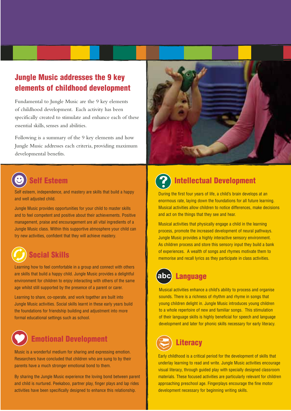## **Jungle Music addresses the 9 key elements of childhood development**

Fundamental to Jungle Music are the 9 key elements of childhood development. Each activity has been specifically created to stimulate and enhance each of these essential skills, senses and abilities.

Following is a summary of the 9 key elements and how Jungle Music addresses each criteria, providing maximum developmental benefits.



Self esteem, independence, and mastery are skills that build a happy and well adjusted child.

Jungle Music provides opportunities for your child to master skills and to feel competent and positive about their achievements. Positive management, praise and encouragement are all vital ingredients of a Jungle Music class. Within this supportive atmosphere your child can try new activities, confident that they will achieve mastery.

# **Social Skills**

Learning how to feel comfortable in a group and connect with others are skills that build a happy child. Jungle Music provides a delightful environment for children to enjoy interacting with others of the same age whilst still supported by the presence of a parent or carer.

Learning to share, co-operate, and work together are built into Jungle Music activities. Social skills learnt in these early years build the foundations for friendship building and adjustment into more formal educational settings such as school.



## **Emotional Development**

Music is a wonderful medium for sharing and expressing emotion. Researchers have concluded that children who are sung to by their parents have a much stronger emotional bond to them.

By sharing the Jungle Music experience the loving bond between parent and child is nurtured. Peekaboo, partner play, finger plays and lap rides activities have been specifically designed to enhance this relationship.





## **Intellectual Development**

During the first four years of life, a child's brain develops at an enormous rate, laying down the foundations for all future learning. Musical activities allow children to notice differences, make decisions and act on the things that they see and hear.

Musical activities that physically engage a child in the learning process, promote the increased development of neural pathways. Jungle Music provides a highly interactive sensory environment. As children process and store this sensory input they build a bank of experiences. A wealth of songs and rhymes motivate them to memorise and recall lyrics as they participate in class activities.

#### **Language** abc

Musical activities enhance a child's ability to process and organise sounds. There is a richness of rhythm and rhyme in songs that young children delight in. Jungle Music introduces young children to a whole repertoire of new and familiar songs. This stimulation of their language skills is highly beneficial for speech and language development and later for phonic skills necessary for early literacy.



Early childhood is a critical period for the development of skills that underlay learning to read and write. Jungle Music activities encourage visual literacy, through guided play with specially designed classroom materials. These focused activities are particularly relevant for children approaching preschool age. Fingerplays encourage the fine motor development necessary for beginning writing skills.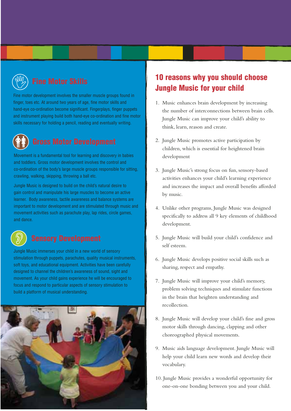Fine motor development involves the smaller muscle groups found in finger, toes etc. At around two years of age, fine motor skills and hand-eye co-ordination become significant. Fingerplays, finger puppets and instrument playing build both hand-eye co-ordination and fine motor skills necessary for holding a pencil, reading and eventually writing.



Movement is a fundamental tool for learning and discovery in babies and toddlers. Gross motor development involves the control and co-ordination of the body's large muscle groups responsible for sitting, crawling, walking, skipping, throwing a ball etc.

Jungle Music is designed to build on the child's natural desire to gain control and manipulate his large muscles to become an active learner. Body awareness, tactile awareness and balance systems are important to motor development and are stimulated through music and movement activities such as parachute play, lap rides, circle games, and dance.

Jungle Music immerses your child in a new world of sensory stimulation through puppets, parachutes, quality musical instruments, soft toys, and educational equipment. Activities have been carefully designed to channel the children's awareness of sound, sight and movement. As your child gains experience he will be encouraged to focus and respond to particular aspects of sensory stimulation to build a platform of musical understanding.



## **10 reasons why you should choose Jungle Music for your child**

- 1. Music enhances brain development by increasing the number of interconnections between brain cells. Jungle Music can improve your child's ability to think, learn, reason and create.
- 2. Jungle Music promotes active participation by children, which is essential for heightened brain development
- 3. Jungle Music's strong focus on fun, sensory-based activities enhances your child's learning experience and increases the impact and overall benefits afforded by music.
- 4. Unlike other programs, Jungle Music was designed specifically to address all 9 key elements of childhood development.
- 5. Jungle Music will build your child's confidence and self esteem.
- 6. Jungle Music develops positive social skills such as sharing, respect and empathy.
- 7. Jungle Music will improve your child's memory, problem solving techniques and stimulate functions in the brain that heighten understanding and recollection.
- 8. Jungle Music will develop your child's fine and gross motor skills through dancing, clapping and other choreographed physical movements.
- 9. Music aids language development. Jungle Music will help your child learn new words and develop their vocabulary.
- 10. Jungle Music provides a wonderful opportunity for one-on-one bonding between you and your child.